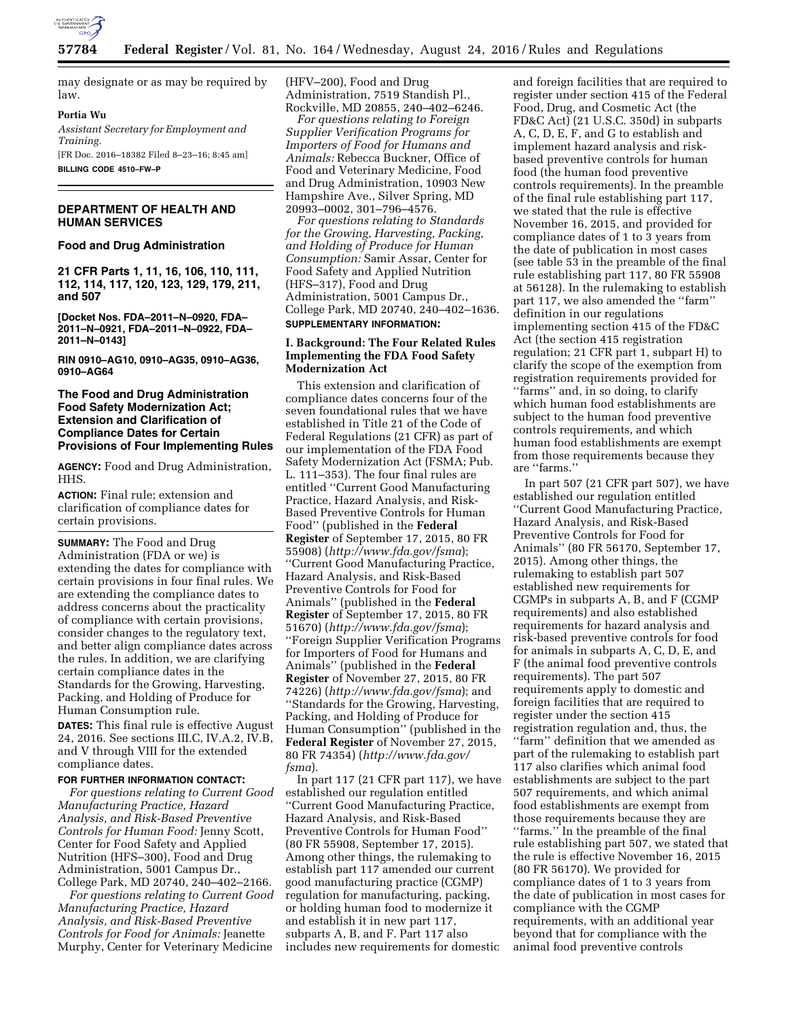

may designate or as may be required by law.

### **Portia Wu**

*Assistant Secretary for Employment and Training.* 

[FR Doc. 2016–18382 Filed 8–23–16; 8:45 am] **BILLING CODE 4510–FW–P** 

## **DEPARTMENT OF HEALTH AND HUMAN SERVICES**

### **Food and Drug Administration**

**21 CFR Parts 1, 11, 16, 106, 110, 111, 112, 114, 117, 120, 123, 129, 179, 211, and 507** 

**[Docket Nos. FDA–2011–N–0920, FDA– 2011–N–0921, FDA–2011–N–0922, FDA– 2011–N–0143]** 

**RIN 0910–AG10, 0910–AG35, 0910–AG36, 0910–AG64** 

# **The Food and Drug Administration Food Safety Modernization Act; Extension and Clarification of Compliance Dates for Certain Provisions of Four Implementing Rules**

**AGENCY:** Food and Drug Administration, HHS.

**ACTION:** Final rule; extension and clarification of compliance dates for certain provisions.

**SUMMARY:** The Food and Drug Administration (FDA or we) is extending the dates for compliance with certain provisions in four final rules. We are extending the compliance dates to address concerns about the practicality of compliance with certain provisions, consider changes to the regulatory text, and better align compliance dates across the rules. In addition, we are clarifying certain compliance dates in the Standards for the Growing, Harvesting, Packing, and Holding of Produce for Human Consumption rule.

**DATES:** This final rule is effective August 24, 2016. See sections III.C, IV.A.2, IV.B, and V through VIII for the extended compliance dates.

### **FOR FURTHER INFORMATION CONTACT:**

*For questions relating to Current Good Manufacturing Practice, Hazard Analysis, and Risk-Based Preventive Controls for Human Food:* Jenny Scott, Center for Food Safety and Applied Nutrition (HFS–300), Food and Drug Administration, 5001 Campus Dr., College Park, MD 20740, 240–402–2166.

*For questions relating to Current Good Manufacturing Practice, Hazard Analysis, and Risk-Based Preventive Controls for Food for Animals:* Jeanette Murphy, Center for Veterinary Medicine

(HFV–200), Food and Drug Administration, 7519 Standish Pl., Rockville, MD 20855, 240–402–6246.

*For questions relating to Foreign Supplier Verification Programs for Importers of Food for Humans and Animals:* Rebecca Buckner, Office of Food and Veterinary Medicine, Food and Drug Administration, 10903 New Hampshire Ave., Silver Spring, MD 20993–0002, 301–796–4576.

*For questions relating to Standards for the Growing, Harvesting, Packing, and Holding of Produce for Human Consumption:* Samir Assar, Center for Food Safety and Applied Nutrition (HFS–317), Food and Drug Administration, 5001 Campus Dr., College Park, MD 20740, 240–402–1636. **SUPPLEMENTARY INFORMATION:** 

### **I. Background: The Four Related Rules Implementing the FDA Food Safety Modernization Act**

This extension and clarification of compliance dates concerns four of the seven foundational rules that we have established in Title 21 of the Code of Federal Regulations (21 CFR) as part of our implementation of the FDA Food Safety Modernization Act (FSMA; Pub. L. 111–353). The four final rules are entitled ''Current Good Manufacturing Practice, Hazard Analysis, and Risk-Based Preventive Controls for Human Food'' (published in the **Federal Register** of September 17, 2015, 80 FR 55908) (*<http://www.fda.gov/fsma>*); ''Current Good Manufacturing Practice, Hazard Analysis, and Risk-Based Preventive Controls for Food for Animals'' (published in the **Federal Register** of September 17, 2015, 80 FR 51670) (*<http://www.fda.gov/fsma>*); ''Foreign Supplier Verification Programs for Importers of Food for Humans and Animals'' (published in the **Federal Register** of November 27, 2015, 80 FR 74226) (*<http://www.fda.gov/fsma>*); and ''Standards for the Growing, Harvesting, Packing, and Holding of Produce for Human Consumption'' (published in the **Federal Register** of November 27, 2015, 80 FR 74354) (*[http://www.fda.gov/](http://www.fda.gov/fsma) [fsma](http://www.fda.gov/fsma)*).

In part 117 (21 CFR part 117), we have established our regulation entitled ''Current Good Manufacturing Practice, Hazard Analysis, and Risk-Based Preventive Controls for Human Food'' (80 FR 55908, September 17, 2015). Among other things, the rulemaking to establish part 117 amended our current good manufacturing practice (CGMP) regulation for manufacturing, packing, or holding human food to modernize it and establish it in new part 117, subparts A, B, and F. Part 117 also includes new requirements for domestic

and foreign facilities that are required to register under section 415 of the Federal Food, Drug, and Cosmetic Act (the FD&C Act) (21 U.S.C. 350d) in subparts A, C, D, E, F, and G to establish and implement hazard analysis and riskbased preventive controls for human food (the human food preventive controls requirements). In the preamble of the final rule establishing part 117, we stated that the rule is effective November 16, 2015, and provided for compliance dates of 1 to 3 years from the date of publication in most cases (see table 53 in the preamble of the final rule establishing part 117, 80 FR 55908 at 56128). In the rulemaking to establish part 117, we also amended the ''farm'' definition in our regulations implementing section 415 of the FD&C Act (the section 415 registration regulation; 21 CFR part 1, subpart H) to clarify the scope of the exemption from registration requirements provided for ''farms'' and, in so doing, to clarify which human food establishments are subject to the human food preventive controls requirements, and which human food establishments are exempt from those requirements because they are ''farms.''

In part 507 (21 CFR part 507), we have established our regulation entitled ''Current Good Manufacturing Practice, Hazard Analysis, and Risk-Based Preventive Controls for Food for Animals'' (80 FR 56170, September 17, 2015). Among other things, the rulemaking to establish part 507 established new requirements for CGMPs in subparts A, B, and F (CGMP requirements) and also established requirements for hazard analysis and risk-based preventive controls for food for animals in subparts A, C, D, E, and F (the animal food preventive controls requirements). The part 507 requirements apply to domestic and foreign facilities that are required to register under the section 415 registration regulation and, thus, the ''farm'' definition that we amended as part of the rulemaking to establish part 117 also clarifies which animal food establishments are subject to the part 507 requirements, and which animal food establishments are exempt from those requirements because they are ''farms.'' In the preamble of the final rule establishing part 507, we stated that the rule is effective November 16, 2015 (80 FR 56170). We provided for compliance dates of 1 to 3 years from the date of publication in most cases for compliance with the CGMP requirements, with an additional year beyond that for compliance with the animal food preventive controls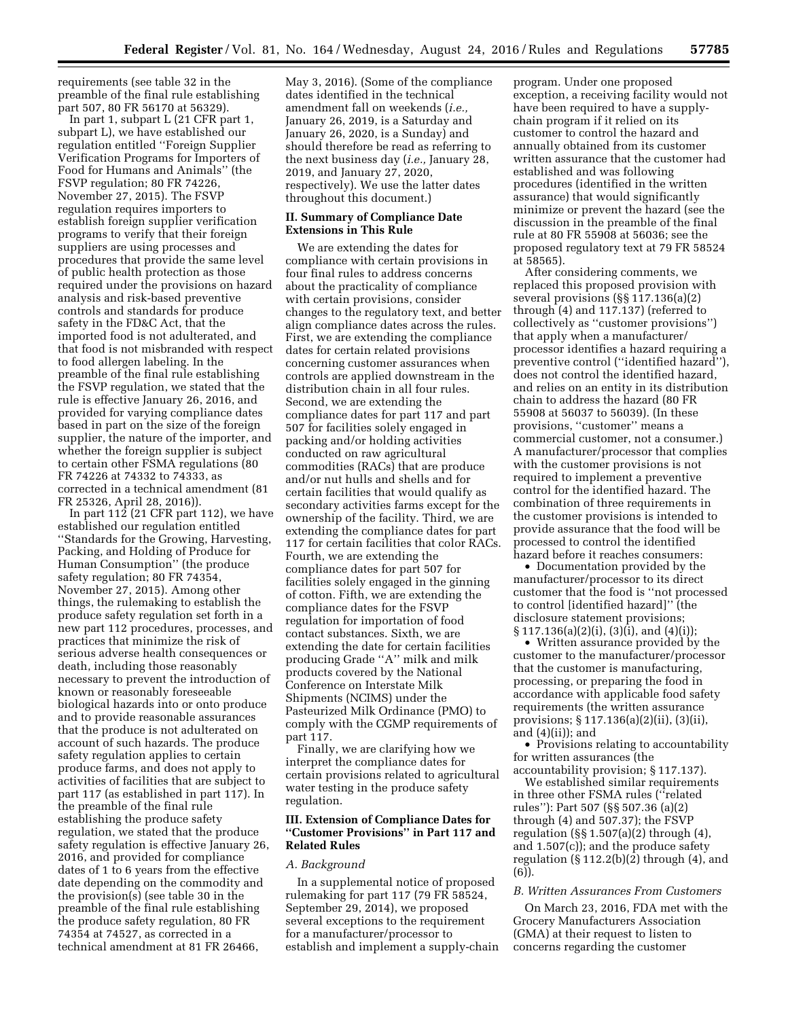requirements (see table 32 in the preamble of the final rule establishing part 507, 80 FR 56170 at 56329).

In part 1, subpart L (21 CFR part 1, subpart L), we have established our regulation entitled ''Foreign Supplier Verification Programs for Importers of Food for Humans and Animals'' (the FSVP regulation; 80 FR 74226, November 27, 2015). The FSVP regulation requires importers to establish foreign supplier verification programs to verify that their foreign suppliers are using processes and procedures that provide the same level of public health protection as those required under the provisions on hazard analysis and risk-based preventive controls and standards for produce safety in the FD&C Act, that the imported food is not adulterated, and that food is not misbranded with respect to food allergen labeling. In the preamble of the final rule establishing the FSVP regulation, we stated that the rule is effective January 26, 2016, and provided for varying compliance dates based in part on the size of the foreign supplier, the nature of the importer, and whether the foreign supplier is subject to certain other FSMA regulations (80 FR 74226 at 74332 to 74333, as corrected in a technical amendment (81 FR 25326, April 28, 2016)).

In part  $112$  (21 CFR part 112), we have established our regulation entitled ''Standards for the Growing, Harvesting, Packing, and Holding of Produce for Human Consumption'' (the produce safety regulation; 80 FR 74354, November 27, 2015). Among other things, the rulemaking to establish the produce safety regulation set forth in a new part 112 procedures, processes, and practices that minimize the risk of serious adverse health consequences or death, including those reasonably necessary to prevent the introduction of known or reasonably foreseeable biological hazards into or onto produce and to provide reasonable assurances that the produce is not adulterated on account of such hazards. The produce safety regulation applies to certain produce farms, and does not apply to activities of facilities that are subject to part 117 (as established in part 117). In the preamble of the final rule establishing the produce safety regulation, we stated that the produce safety regulation is effective January 26, 2016, and provided for compliance dates of 1 to 6 years from the effective date depending on the commodity and the provision(s) (see table 30 in the preamble of the final rule establishing the produce safety regulation, 80 FR 74354 at 74527, as corrected in a technical amendment at 81 FR 26466,

May 3, 2016). (Some of the compliance dates identified in the technical amendment fall on weekends (*i.e.,*  January 26, 2019, is a Saturday and January 26, 2020, is a Sunday) and should therefore be read as referring to the next business day (*i.e.,* January 28, 2019, and January 27, 2020, respectively). We use the latter dates throughout this document.)

## **II. Summary of Compliance Date Extensions in This Rule**

We are extending the dates for compliance with certain provisions in four final rules to address concerns about the practicality of compliance with certain provisions, consider changes to the regulatory text, and better align compliance dates across the rules. First, we are extending the compliance dates for certain related provisions concerning customer assurances when controls are applied downstream in the distribution chain in all four rules. Second, we are extending the compliance dates for part 117 and part 507 for facilities solely engaged in packing and/or holding activities conducted on raw agricultural commodities (RACs) that are produce and/or nut hulls and shells and for certain facilities that would qualify as secondary activities farms except for the ownership of the facility. Third, we are extending the compliance dates for part 117 for certain facilities that color RACs. Fourth, we are extending the compliance dates for part 507 for facilities solely engaged in the ginning of cotton. Fifth, we are extending the compliance dates for the FSVP regulation for importation of food contact substances. Sixth, we are extending the date for certain facilities producing Grade ''A'' milk and milk products covered by the National Conference on Interstate Milk Shipments (NCIMS) under the Pasteurized Milk Ordinance (PMO) to comply with the CGMP requirements of part 117.

Finally, we are clarifying how we interpret the compliance dates for certain provisions related to agricultural water testing in the produce safety regulation.

## **III. Extension of Compliance Dates for ''Customer Provisions'' in Part 117 and Related Rules**

#### *A. Background*

In a supplemental notice of proposed rulemaking for part 117 (79 FR 58524, September 29, 2014), we proposed several exceptions to the requirement for a manufacturer/processor to establish and implement a supply-chain

program. Under one proposed exception, a receiving facility would not have been required to have a supplychain program if it relied on its customer to control the hazard and annually obtained from its customer written assurance that the customer had established and was following procedures (identified in the written assurance) that would significantly minimize or prevent the hazard (see the discussion in the preamble of the final rule at 80 FR 55908 at 56036; see the proposed regulatory text at 79 FR 58524 at 58565).

After considering comments, we replaced this proposed provision with several provisions (§§ 117.136(a)(2) through (4) and 117.137) (referred to collectively as ''customer provisions'') that apply when a manufacturer/ processor identifies a hazard requiring a preventive control (''identified hazard''), does not control the identified hazard, and relies on an entity in its distribution chain to address the hazard (80 FR 55908 at 56037 to 56039). (In these provisions, ''customer'' means a commercial customer, not a consumer.) A manufacturer/processor that complies with the customer provisions is not required to implement a preventive control for the identified hazard. The combination of three requirements in the customer provisions is intended to provide assurance that the food will be processed to control the identified hazard before it reaches consumers:

• Documentation provided by the manufacturer/processor to its direct customer that the food is ''not processed to control [identified hazard]'' (the disclosure statement provisions; § 117.136(a)(2)(i), (3)(i), and (4)(i));

• Written assurance provided by the customer to the manufacturer/processor that the customer is manufacturing, processing, or preparing the food in accordance with applicable food safety requirements (the written assurance provisions; § 117.136(a)(2)(ii), (3)(ii), and (4)(ii)); and

• Provisions relating to accountability for written assurances (the accountability provision; § 117.137).

We established similar requirements in three other FSMA rules (''related rules''): Part 507 (§§ 507.36 (a)(2) through (4) and 507.37); the FSVP regulation (§§ 1.507(a)(2) through (4), and 1.507(c)); and the produce safety regulation  $(\S 112.2(b)(2)$  through  $(4)$ , and (6)).

#### *B. Written Assurances From Customers*

On March 23, 2016, FDA met with the Grocery Manufacturers Association (GMA) at their request to listen to concerns regarding the customer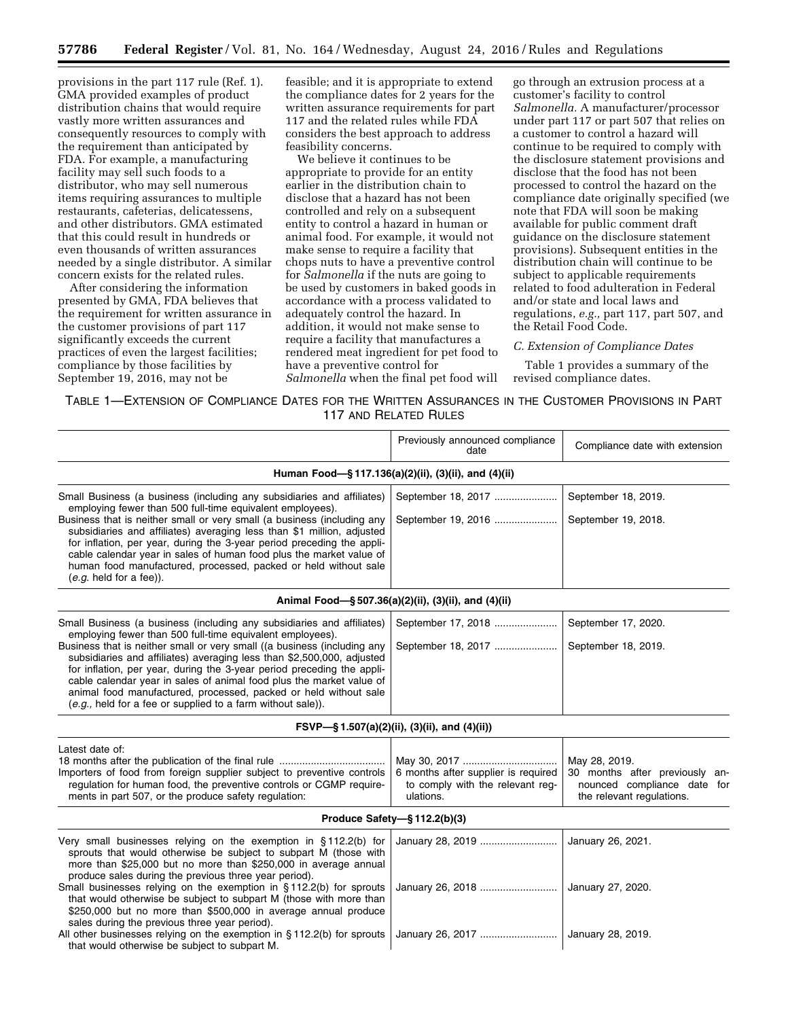provisions in the part 117 rule (Ref. 1). GMA provided examples of product distribution chains that would require vastly more written assurances and consequently resources to comply with the requirement than anticipated by FDA. For example, a manufacturing facility may sell such foods to a distributor, who may sell numerous items requiring assurances to multiple restaurants, cafeterias, delicatessens, and other distributors. GMA estimated that this could result in hundreds or even thousands of written assurances needed by a single distributor. A similar concern exists for the related rules.

After considering the information presented by GMA, FDA believes that the requirement for written assurance in the customer provisions of part 117 significantly exceeds the current practices of even the largest facilities; compliance by those facilities by September 19, 2016, may not be

feasible; and it is appropriate to extend the compliance dates for 2 years for the written assurance requirements for part 117 and the related rules while FDA considers the best approach to address feasibility concerns.

We believe it continues to be appropriate to provide for an entity earlier in the distribution chain to disclose that a hazard has not been controlled and rely on a subsequent entity to control a hazard in human or animal food. For example, it would not make sense to require a facility that chops nuts to have a preventive control for *Salmonella* if the nuts are going to be used by customers in baked goods in accordance with a process validated to adequately control the hazard. In addition, it would not make sense to require a facility that manufactures a rendered meat ingredient for pet food to have a preventive control for *Salmonella* when the final pet food will go through an extrusion process at a customer's facility to control *Salmonella.* A manufacturer/processor under part 117 or part 507 that relies on a customer to control a hazard will continue to be required to comply with the disclosure statement provisions and disclose that the food has not been processed to control the hazard on the compliance date originally specified (we note that FDA will soon be making available for public comment draft guidance on the disclosure statement provisions). Subsequent entities in the distribution chain will continue to be subject to applicable requirements related to food adulteration in Federal and/or state and local laws and regulations, *e.g.,* part 117, part 507, and the Retail Food Code.

# *C. Extension of Compliance Dates*

Table 1 provides a summary of the revised compliance dates.

TABLE 1—EXTENSION OF COMPLIANCE DATES FOR THE WRITTEN ASSURANCES IN THE CUSTOMER PROVISIONS IN PART 117 AND RELATED RULES

|                                                                                                                                                                                                                                                                                                                                                                                                                                                                                                                                                                                 | Previously announced compliance<br>date                                              | Compliance date with extension                                                                              |  |
|---------------------------------------------------------------------------------------------------------------------------------------------------------------------------------------------------------------------------------------------------------------------------------------------------------------------------------------------------------------------------------------------------------------------------------------------------------------------------------------------------------------------------------------------------------------------------------|--------------------------------------------------------------------------------------|-------------------------------------------------------------------------------------------------------------|--|
|                                                                                                                                                                                                                                                                                                                                                                                                                                                                                                                                                                                 | Human Food-§117.136(a)(2)(ii), (3)(ii), and (4)(ii)                                  |                                                                                                             |  |
| Small Business (a business (including any subsidiaries and affiliates)<br>employing fewer than 500 full-time equivalent employees).<br>Business that is neither small or very small (a business (including any<br>subsidiaries and affiliates) averaging less than \$1 million, adjusted<br>for inflation, per year, during the 3-year period preceding the appli-<br>cable calendar year in sales of human food plus the market value of<br>human food manufactured, processed, packed or held without sale<br>$(e.g.$ held for a fee)).                                       | September 18, 2017<br>September 19, 2016                                             | September 18, 2019.<br>September 19, 2018.                                                                  |  |
|                                                                                                                                                                                                                                                                                                                                                                                                                                                                                                                                                                                 | Animal Food-§507.36(a)(2)(ii), (3)(ii), and (4)(ii)                                  |                                                                                                             |  |
| Small Business (a business (including any subsidiaries and affiliates)<br>employing fewer than 500 full-time equivalent employees).<br>Business that is neither small or very small ((a business (including any<br>subsidiaries and affiliates) averaging less than \$2,500,000, adjusted<br>for inflation, per year, during the 3-year period preceding the appli-<br>cable calendar year in sales of animal food plus the market value of<br>animal food manufactured, processed, packed or held without sale<br>$(e.g., held for a fee or supplied to a farm without sale).$ | September 17, 2018<br>September 18, 2017                                             | September 17, 2020.<br>September 18, 2019.                                                                  |  |
|                                                                                                                                                                                                                                                                                                                                                                                                                                                                                                                                                                                 | FSVP-§1.507(a)(2)(ii), (3)(ii), and (4)(ii))                                         |                                                                                                             |  |
| Latest date of:<br>Importers of food from foreign supplier subject to preventive controls<br>requlation for human food, the preventive controls or CGMP require-<br>ments in part 507, or the produce safety regulation:                                                                                                                                                                                                                                                                                                                                                        | 6 months after supplier is required<br>to comply with the relevant reg-<br>ulations. | May 28, 2019.<br>30 months after previously an-<br>nounced compliance date for<br>the relevant regulations. |  |
|                                                                                                                                                                                                                                                                                                                                                                                                                                                                                                                                                                                 | Produce Safety-§ 112.2(b)(3)                                                         |                                                                                                             |  |
| Very small businesses relying on the exemption in §112.2(b) for<br>sprouts that would otherwise be subject to subpart M (those with<br>more than \$25,000 but no more than \$250,000 in average annual<br>produce sales during the previous three year period).<br>Small businesses relying on the exemption in §112.2(b) for sprouts<br>that would otherwise be subject to subpart M (those with more than<br>\$250,000 but no more than \$500,000 in average annual produce                                                                                                   | January 28, 2019<br>January 26, 2018                                                 | January 26, 2021.<br>January 27, 2020.                                                                      |  |
| sales during the previous three year period).<br>All other businesses relying on the exemption in $\S 112.2(b)$ for sprouts<br>that would otherwise be subject to subpart M.                                                                                                                                                                                                                                                                                                                                                                                                    | January 26, 2017                                                                     | January 28, 2019.                                                                                           |  |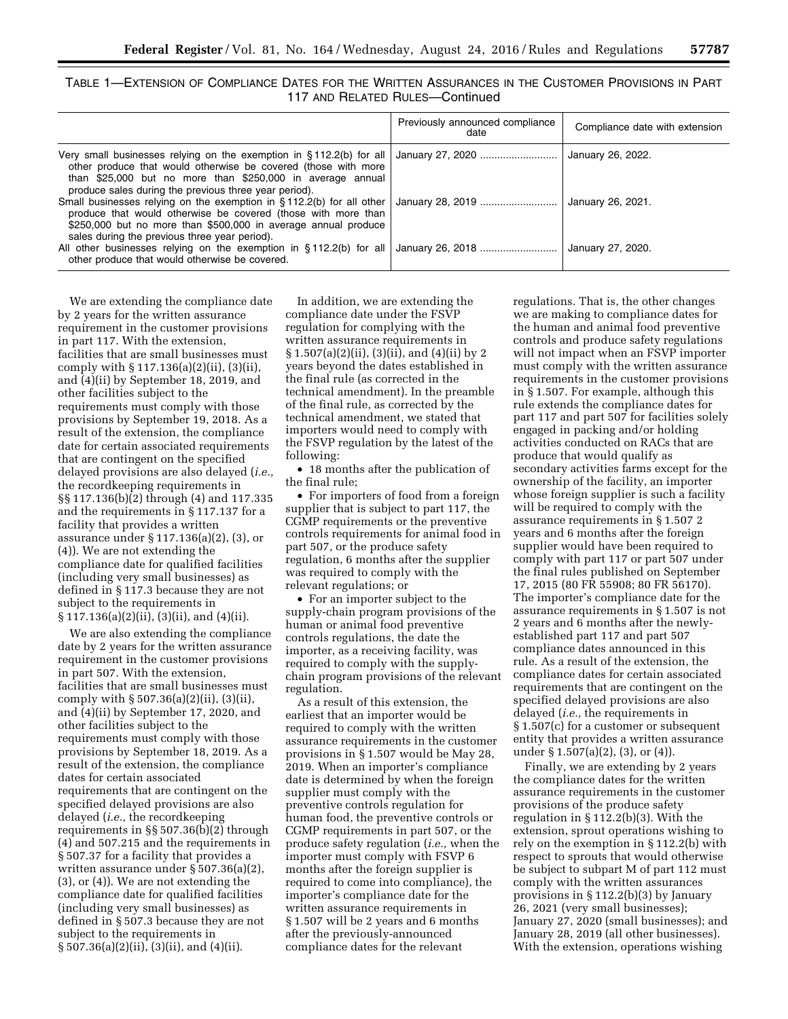| Table 1—Extension of Compliance Dates for the Written Assurances in the Customer Provisions in Part |                                 |  |  |
|-----------------------------------------------------------------------------------------------------|---------------------------------|--|--|
|                                                                                                     | 117 AND RELATED RULES-Continued |  |  |

|                                                                                                                                                                                                                                                                  | Previously announced compliance<br>date | Compliance date with extension |
|------------------------------------------------------------------------------------------------------------------------------------------------------------------------------------------------------------------------------------------------------------------|-----------------------------------------|--------------------------------|
| Very small businesses relying on the exemption in $\S 112.2(b)$ for all<br>other produce that would otherwise be covered (those with more<br>than \$25,000 but no more than \$250,000 in average annual<br>produce sales during the previous three year period). | January 27, 2020                        | January 26, 2022.              |
| Small businesses relying on the exemption in $\S 112.2(b)$ for all other<br>produce that would otherwise be covered (those with more than<br>\$250,000 but no more than \$500,000 in average annual produce<br>sales during the previous three year period).     | January 28, 2019                        | January 26, 2021.              |
| All other businesses relying on the exemption in $\S 112.2(b)$ for all<br>other produce that would otherwise be covered.                                                                                                                                         | January 26, 2018                        | January 27, 2020.              |

We are extending the compliance date by 2 years for the written assurance requirement in the customer provisions in part 117. With the extension, facilities that are small businesses must comply with § 117.136(a)(2)(ii), (3)(ii), and (4)(ii) by September 18, 2019, and other facilities subject to the requirements must comply with those provisions by September 19, 2018. As a result of the extension, the compliance date for certain associated requirements that are contingent on the specified delayed provisions are also delayed (*i.e.,*  the recordkeeping requirements in §§ 117.136(b)(2) through (4) and 117.335 and the requirements in § 117.137 for a facility that provides a written assurance under § 117.136(a)(2), (3), or (4)). We are not extending the compliance date for qualified facilities (including very small businesses) as defined in § 117.3 because they are not subject to the requirements in § 117.136(a)(2)(ii), (3)(ii), and (4)(ii).

We are also extending the compliance date by 2 years for the written assurance requirement in the customer provisions in part 507. With the extension, facilities that are small businesses must comply with § 507.36(a)(2)(ii), (3)(ii), and (4)(ii) by September 17, 2020, and other facilities subject to the requirements must comply with those provisions by September 18, 2019. As a result of the extension, the compliance dates for certain associated requirements that are contingent on the specified delayed provisions are also delayed (*i.e.,* the recordkeeping requirements in §§ 507.36(b)(2) through (4) and 507.215 and the requirements in § 507.37 for a facility that provides a written assurance under § 507.36(a)(2), (3), or (4)). We are not extending the compliance date for qualified facilities (including very small businesses) as defined in § 507.3 because they are not subject to the requirements in § 507.36(a)(2)(ii), (3)(ii), and (4)(ii).

In addition, we are extending the compliance date under the FSVP regulation for complying with the written assurance requirements in § 1.507(a)(2)(ii), (3)(ii), and (4)(ii) by 2 years beyond the dates established in the final rule (as corrected in the technical amendment). In the preamble of the final rule, as corrected by the technical amendment, we stated that importers would need to comply with the FSVP regulation by the latest of the following:

• 18 months after the publication of the final rule;

• For importers of food from a foreign supplier that is subject to part 117, the CGMP requirements or the preventive controls requirements for animal food in part 507, or the produce safety regulation, 6 months after the supplier was required to comply with the relevant regulations; or

• For an importer subject to the supply-chain program provisions of the human or animal food preventive controls regulations, the date the importer, as a receiving facility, was required to comply with the supplychain program provisions of the relevant regulation.

As a result of this extension, the earliest that an importer would be required to comply with the written assurance requirements in the customer provisions in § 1.507 would be May 28, 2019. When an importer's compliance date is determined by when the foreign supplier must comply with the preventive controls regulation for human food, the preventive controls or CGMP requirements in part 507, or the produce safety regulation (*i.e.,* when the importer must comply with FSVP 6 months after the foreign supplier is required to come into compliance), the importer's compliance date for the written assurance requirements in § 1.507 will be 2 years and 6 months after the previously-announced compliance dates for the relevant

regulations. That is, the other changes we are making to compliance dates for the human and animal food preventive controls and produce safety regulations will not impact when an FSVP importer must comply with the written assurance requirements in the customer provisions in § 1.507. For example, although this rule extends the compliance dates for part 117 and part 507 for facilities solely engaged in packing and/or holding activities conducted on RACs that are produce that would qualify as secondary activities farms except for the ownership of the facility, an importer whose foreign supplier is such a facility will be required to comply with the assurance requirements in § 1.507 2 years and 6 months after the foreign supplier would have been required to comply with part 117 or part 507 under the final rules published on September 17, 2015 (80 FR 55908; 80 FR 56170). The importer's compliance date for the assurance requirements in § 1.507 is not 2 years and 6 months after the newlyestablished part 117 and part 507 compliance dates announced in this rule. As a result of the extension, the compliance dates for certain associated requirements that are contingent on the specified delayed provisions are also delayed (*i.e.,* the requirements in § 1.507(c) for a customer or subsequent entity that provides a written assurance under § 1.507(a)(2), (3), or (4)).

Finally, we are extending by 2 years the compliance dates for the written assurance requirements in the customer provisions of the produce safety regulation in § 112.2(b)(3). With the extension, sprout operations wishing to rely on the exemption in § 112.2(b) with respect to sprouts that would otherwise be subject to subpart M of part 112 must comply with the written assurances provisions in § 112.2(b)(3) by January 26, 2021 (very small businesses); January 27, 2020 (small businesses); and January 28, 2019 (all other businesses). With the extension, operations wishing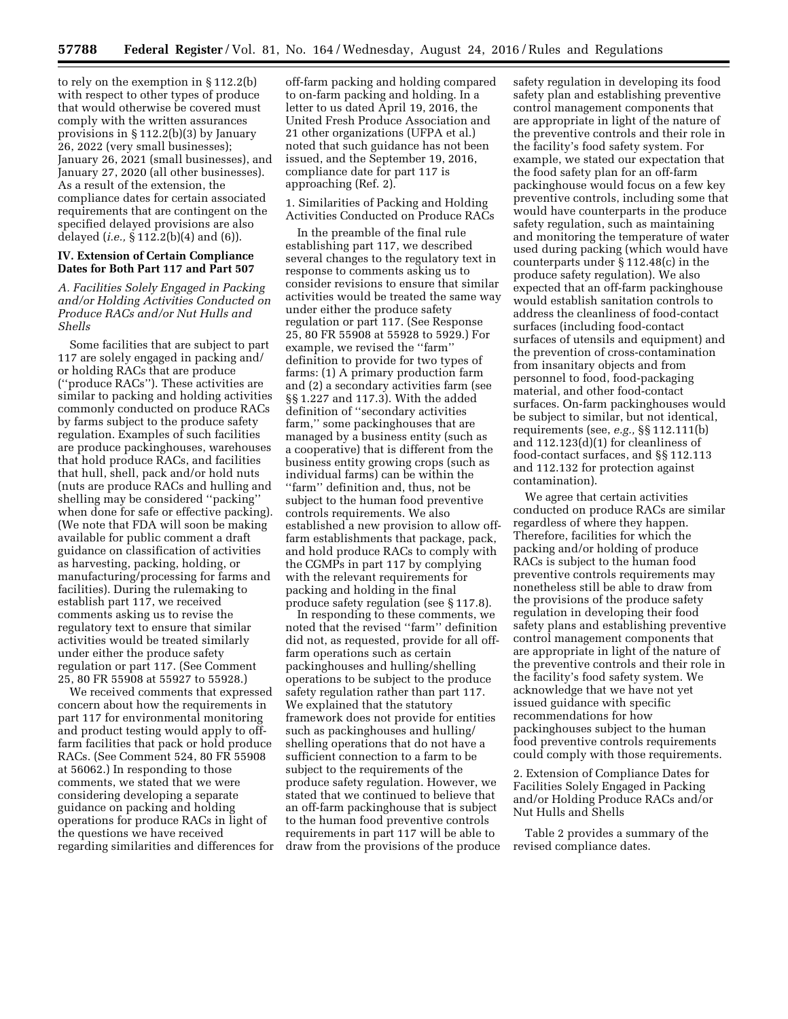to rely on the exemption in § 112.2(b) with respect to other types of produce that would otherwise be covered must comply with the written assurances provisions in § 112.2(b)(3) by January 26, 2022 (very small businesses); January 26, 2021 (small businesses), and January 27, 2020 (all other businesses). As a result of the extension, the compliance dates for certain associated requirements that are contingent on the specified delayed provisions are also delayed (*i.e.,* § 112.2(b)(4) and (6)).

# **IV. Extension of Certain Compliance Dates for Both Part 117 and Part 507**

*A. Facilities Solely Engaged in Packing and/or Holding Activities Conducted on Produce RACs and/or Nut Hulls and Shells* 

Some facilities that are subject to part 117 are solely engaged in packing and/ or holding RACs that are produce (''produce RACs''). These activities are similar to packing and holding activities commonly conducted on produce RACs by farms subject to the produce safety regulation. Examples of such facilities are produce packinghouses, warehouses that hold produce RACs, and facilities that hull, shell, pack and/or hold nuts (nuts are produce RACs and hulling and shelling may be considered ''packing'' when done for safe or effective packing). (We note that FDA will soon be making available for public comment a draft guidance on classification of activities as harvesting, packing, holding, or manufacturing/processing for farms and facilities). During the rulemaking to establish part 117, we received comments asking us to revise the regulatory text to ensure that similar activities would be treated similarly under either the produce safety regulation or part 117. (See Comment 25, 80 FR 55908 at 55927 to 55928.)

We received comments that expressed concern about how the requirements in part 117 for environmental monitoring and product testing would apply to offfarm facilities that pack or hold produce RACs. (See Comment 524, 80 FR 55908 at 56062.) In responding to those comments, we stated that we were considering developing a separate guidance on packing and holding operations for produce RACs in light of the questions we have received regarding similarities and differences for

off-farm packing and holding compared to on-farm packing and holding. In a letter to us dated April 19, 2016, the United Fresh Produce Association and 21 other organizations (UFPA et al.) noted that such guidance has not been issued, and the September 19, 2016, compliance date for part 117 is approaching (Ref. 2).

1. Similarities of Packing and Holding Activities Conducted on Produce RACs

In the preamble of the final rule establishing part 117, we described several changes to the regulatory text in response to comments asking us to consider revisions to ensure that similar activities would be treated the same way under either the produce safety regulation or part 117. (See Response 25, 80 FR 55908 at 55928 to 5929.) For example, we revised the ''farm'' definition to provide for two types of farms: (1) A primary production farm and (2) a secondary activities farm (see §§ 1.227 and 117.3). With the added definition of ''secondary activities farm,'' some packinghouses that are managed by a business entity (such as a cooperative) that is different from the business entity growing crops (such as individual farms) can be within the ''farm'' definition and, thus, not be subject to the human food preventive controls requirements. We also established a new provision to allow offfarm establishments that package, pack, and hold produce RACs to comply with the CGMPs in part 117 by complying with the relevant requirements for packing and holding in the final produce safety regulation (see § 117.8).

In responding to these comments, we noted that the revised ''farm'' definition did not, as requested, provide for all offfarm operations such as certain packinghouses and hulling/shelling operations to be subject to the produce safety regulation rather than part 117. We explained that the statutory framework does not provide for entities such as packinghouses and hulling/ shelling operations that do not have a sufficient connection to a farm to be subject to the requirements of the produce safety regulation. However, we stated that we continued to believe that an off-farm packinghouse that is subject to the human food preventive controls requirements in part 117 will be able to draw from the provisions of the produce safety regulation in developing its food safety plan and establishing preventive control management components that are appropriate in light of the nature of the preventive controls and their role in the facility's food safety system. For example, we stated our expectation that the food safety plan for an off-farm packinghouse would focus on a few key preventive controls, including some that would have counterparts in the produce safety regulation, such as maintaining and monitoring the temperature of water used during packing (which would have counterparts under § 112.48(c) in the produce safety regulation). We also expected that an off-farm packinghouse would establish sanitation controls to address the cleanliness of food-contact surfaces (including food-contact surfaces of utensils and equipment) and the prevention of cross-contamination from insanitary objects and from personnel to food, food-packaging material, and other food-contact surfaces. On-farm packinghouses would be subject to similar, but not identical, requirements (see, *e.g.,* §§ 112.111(b) and 112.123(d)(1) for cleanliness of food-contact surfaces, and §§ 112.113 and 112.132 for protection against contamination).

We agree that certain activities conducted on produce RACs are similar regardless of where they happen. Therefore, facilities for which the packing and/or holding of produce RACs is subject to the human food preventive controls requirements may nonetheless still be able to draw from the provisions of the produce safety regulation in developing their food safety plans and establishing preventive control management components that are appropriate in light of the nature of the preventive controls and their role in the facility's food safety system. We acknowledge that we have not yet issued guidance with specific recommendations for how packinghouses subject to the human food preventive controls requirements could comply with those requirements.

2. Extension of Compliance Dates for Facilities Solely Engaged in Packing and/or Holding Produce RACs and/or Nut Hulls and Shells

Table 2 provides a summary of the revised compliance dates.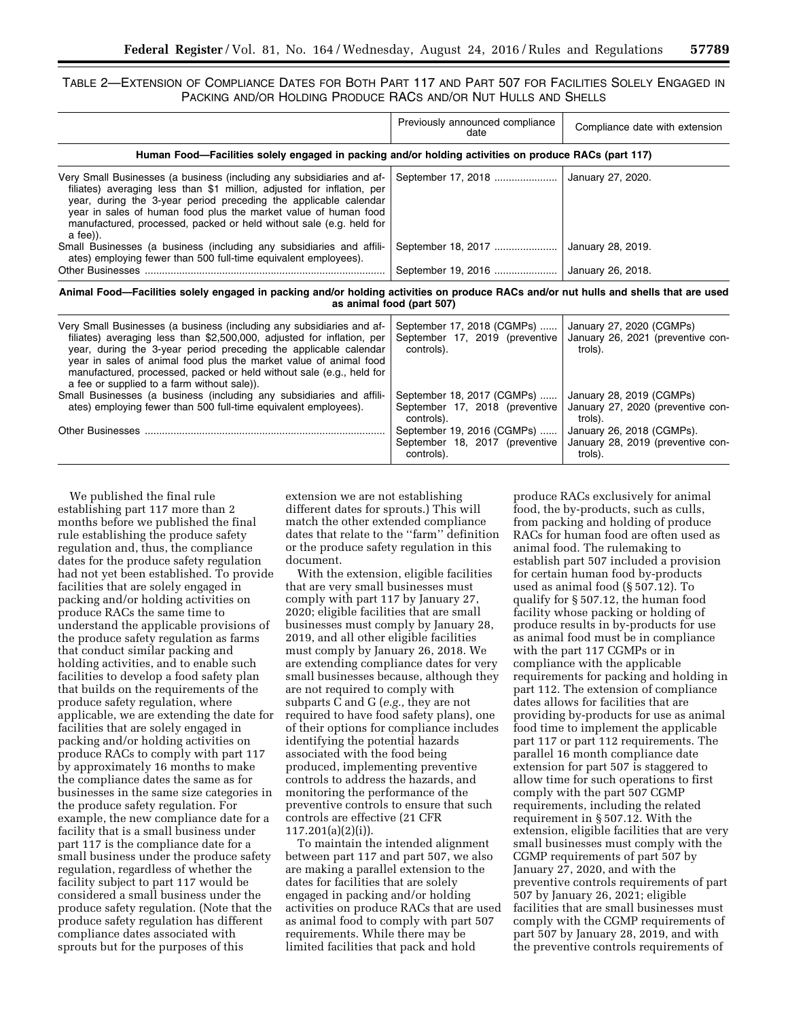# TABLE 2—EXTENSION OF COMPLIANCE DATES FOR BOTH PART 117 AND PART 507 FOR FACILITIES SOLELY ENGAGED IN PACKING AND/OR HOLDING PRODUCE RACS AND/OR NUT HULLS AND SHELLS

|                                                                                                                                                                                                                                                                                                                                                                           | Previously announced compliance<br>date | Compliance date with extension |
|---------------------------------------------------------------------------------------------------------------------------------------------------------------------------------------------------------------------------------------------------------------------------------------------------------------------------------------------------------------------------|-----------------------------------------|--------------------------------|
| Human Food—Facilities solely engaged in packing and/or holding activities on produce RACs (part 117)                                                                                                                                                                                                                                                                      |                                         |                                |
| Very Small Businesses (a business (including any subsidiaries and af-<br>filiates) averaging less than \$1 million, adjusted for inflation, per<br>year, during the 3-year period preceding the applicable calendar<br>year in sales of human food plus the market value of human food<br>manufactured, processed, packed or held without sale (e.g. held for<br>a fee)). | September 17, 2018                      | January 27, 2020.              |
| Small Businesses (a business (including any subsidiaries and affili-<br>ates) employing fewer than 500 full-time equivalent employees).                                                                                                                                                                                                                                   | September 18, 2017                      | January 28, 2019.              |
|                                                                                                                                                                                                                                                                                                                                                                           | September 19, 2016                      | January 26, 2018.              |
|                                                                                                                                                                                                                                                                                                                                                                           |                                         |                                |

**Animal Food—Facilities solely engaged in packing and/or holding activities on produce RACs and/or nut hulls and shells that are used as animal food (part 507)** 

| Very Small Businesses (a business (including any subsidiaries and af-<br>filiates) averaging less than \$2,500,000, adjusted for inflation, per<br>year, during the 3-year period preceding the applicable calendar<br>year in sales of animal food plus the market value of animal food<br>manufactured, processed, packed or held without sale (e.g., held for<br>a fee or supplied to a farm without sale)). | September 17, 2018 (CGMPs)<br>September 17, 2019 (preventive<br>controls). | January 27, 2020 (CGMPs)<br>January 26, 2021 (preventive con-<br>trols).  |
|-----------------------------------------------------------------------------------------------------------------------------------------------------------------------------------------------------------------------------------------------------------------------------------------------------------------------------------------------------------------------------------------------------------------|----------------------------------------------------------------------------|---------------------------------------------------------------------------|
| Small Businesses (a business (including any subsidiaries and affili-<br>ates) employing fewer than 500 full-time equivalent employees).                                                                                                                                                                                                                                                                         | September 18, 2017 (CGMPs)<br>September 17, 2018 (preventive<br>controls). | January 28, 2019 (CGMPs)<br>January 27, 2020 (preventive con-<br>trols).  |
| Other Businesses                                                                                                                                                                                                                                                                                                                                                                                                | September 19, 2016 (CGMPs)<br>September 18, 2017 (preventive<br>controls). | January 26, 2018 (CGMPs).<br>January 28, 2019 (preventive con-<br>trols). |

We published the final rule establishing part 117 more than 2 months before we published the final rule establishing the produce safety regulation and, thus, the compliance dates for the produce safety regulation had not yet been established. To provide facilities that are solely engaged in packing and/or holding activities on produce RACs the same time to understand the applicable provisions of the produce safety regulation as farms that conduct similar packing and holding activities, and to enable such facilities to develop a food safety plan that builds on the requirements of the produce safety regulation, where applicable, we are extending the date for facilities that are solely engaged in packing and/or holding activities on produce RACs to comply with part 117 by approximately 16 months to make the compliance dates the same as for businesses in the same size categories in the produce safety regulation. For example, the new compliance date for a facility that is a small business under part 117 is the compliance date for a small business under the produce safety regulation, regardless of whether the facility subject to part 117 would be considered a small business under the produce safety regulation. (Note that the produce safety regulation has different compliance dates associated with sprouts but for the purposes of this

extension we are not establishing different dates for sprouts.) This will match the other extended compliance dates that relate to the ''farm'' definition or the produce safety regulation in this document.

With the extension, eligible facilities that are very small businesses must comply with part 117 by January 27, 2020; eligible facilities that are small businesses must comply by January 28, 2019, and all other eligible facilities must comply by January 26, 2018. We are extending compliance dates for very small businesses because, although they are not required to comply with subparts C and G (*e.g.,* they are not required to have food safety plans), one of their options for compliance includes identifying the potential hazards associated with the food being produced, implementing preventive controls to address the hazards, and monitoring the performance of the preventive controls to ensure that such controls are effective (21 CFR 117.201(a)(2)(i)).

To maintain the intended alignment between part 117 and part 507, we also are making a parallel extension to the dates for facilities that are solely engaged in packing and/or holding activities on produce RACs that are used as animal food to comply with part 507 requirements. While there may be limited facilities that pack and hold

produce RACs exclusively for animal food, the by-products, such as culls, from packing and holding of produce RACs for human food are often used as animal food. The rulemaking to establish part 507 included a provision for certain human food by-products used as animal food (§ 507.12). To qualify for § 507.12, the human food facility whose packing or holding of produce results in by-products for use as animal food must be in compliance with the part 117 CGMPs or in compliance with the applicable requirements for packing and holding in part 112. The extension of compliance dates allows for facilities that are providing by-products for use as animal food time to implement the applicable part 117 or part 112 requirements. The parallel 16 month compliance date extension for part 507 is staggered to allow time for such operations to first comply with the part 507 CGMP requirements, including the related requirement in § 507.12. With the extension, eligible facilities that are very small businesses must comply with the CGMP requirements of part 507 by January 27, 2020, and with the preventive controls requirements of part 507 by January 26, 2021; eligible facilities that are small businesses must comply with the CGMP requirements of part 507 by January 28, 2019, and with the preventive controls requirements of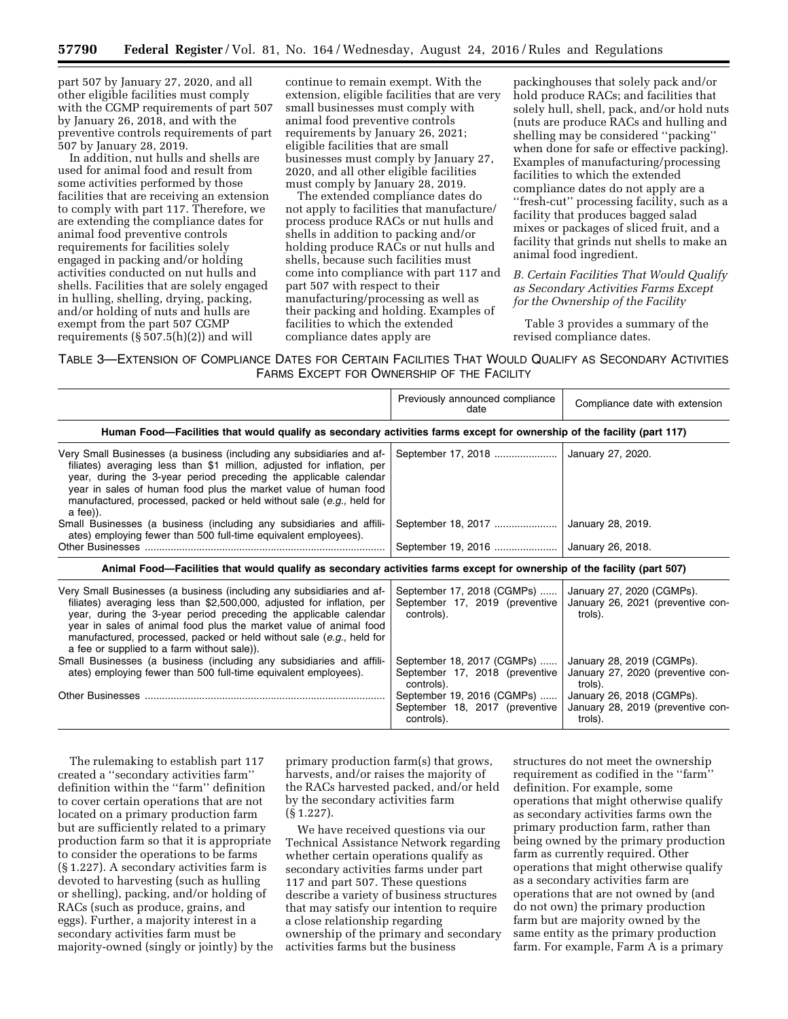part 507 by January 27, 2020, and all other eligible facilities must comply with the CGMP requirements of part 507 by January 26, 2018, and with the preventive controls requirements of part 507 by January 28, 2019.

In addition, nut hulls and shells are used for animal food and result from some activities performed by those facilities that are receiving an extension to comply with part 117. Therefore, we are extending the compliance dates for animal food preventive controls requirements for facilities solely engaged in packing and/or holding activities conducted on nut hulls and shells. Facilities that are solely engaged in hulling, shelling, drying, packing, and/or holding of nuts and hulls are exempt from the part 507 CGMP requirements  $(\S 507.5(h)(2))$  and will

continue to remain exempt. With the extension, eligible facilities that are very small businesses must comply with animal food preventive controls requirements by January 26, 2021; eligible facilities that are small businesses must comply by January 27, 2020, and all other eligible facilities must comply by January 28, 2019.

The extended compliance dates do not apply to facilities that manufacture/ process produce RACs or nut hulls and shells in addition to packing and/or holding produce RACs or nut hulls and shells, because such facilities must come into compliance with part 117 and part 507 with respect to their manufacturing/processing as well as their packing and holding. Examples of facilities to which the extended compliance dates apply are

packinghouses that solely pack and/or hold produce RACs; and facilities that solely hull, shell, pack, and/or hold nuts (nuts are produce RACs and hulling and shelling may be considered ''packing'' when done for safe or effective packing). Examples of manufacturing/processing facilities to which the extended compliance dates do not apply are a ''fresh-cut'' processing facility, such as a facility that produces bagged salad mixes or packages of sliced fruit, and a facility that grinds nut shells to make an animal food ingredient.

# *B. Certain Facilities That Would Qualify as Secondary Activities Farms Except for the Ownership of the Facility*

Table 3 provides a summary of the revised compliance dates.

TABLE 3—EXTENSION OF COMPLIANCE DATES FOR CERTAIN FACILITIES THAT WOULD QUALIFY AS SECONDARY ACTIVITIES FARMS EXCEPT FOR OWNERSHIP OF THE FACILITY

|                                                                                                                                                                                                                                                                                                                                                                                                                 | Previously announced compliance<br>date                                    | Compliance date with extension                                            |
|-----------------------------------------------------------------------------------------------------------------------------------------------------------------------------------------------------------------------------------------------------------------------------------------------------------------------------------------------------------------------------------------------------------------|----------------------------------------------------------------------------|---------------------------------------------------------------------------|
| Human Food—Facilities that would qualify as secondary activities farms except for ownership of the facility (part 117)                                                                                                                                                                                                                                                                                          |                                                                            |                                                                           |
| Very Small Businesses (a business (including any subsidiaries and af-<br>filiates) averaging less than \$1 million, adjusted for inflation, per<br>year, during the 3-year period preceding the applicable calendar<br>year in sales of human food plus the market value of human food<br>manufactured, processed, packed or held without sale (e.g., held for<br>a fee)).                                      | September 17, 2018                                                         | January 27, 2020.                                                         |
| Small Businesses (a business (including any subsidiaries and affili-<br>ates) employing fewer than 500 full-time equivalent employees).                                                                                                                                                                                                                                                                         | September 18, 2017                                                         | January 28, 2019.                                                         |
|                                                                                                                                                                                                                                                                                                                                                                                                                 | September 19, 2016                                                         | January 26, 2018.                                                         |
| Animal Food—Facilities that would qualify as secondary activities farms except for ownership of the facility (part 507)                                                                                                                                                                                                                                                                                         |                                                                            |                                                                           |
| Very Small Businesses (a business (including any subsidiaries and af-<br>filiates) averaging less than \$2,500,000, adjusted for inflation, per<br>year, during the 3-year period preceding the applicable calendar<br>year in sales of animal food plus the market value of animal food<br>manufactured, processed, packed or held without sale (e.g., held for<br>a fee or supplied to a farm without sale)). | September 17, 2018 (CGMPs)<br>September 17, 2019 (preventive<br>controls). | January 27, 2020 (CGMPs).<br>January 26, 2021 (preventive con-<br>trols). |
| Small Businesses (a business (including any subsidiaries and affili-                                                                                                                                                                                                                                                                                                                                            | September 18, 2017 (CGMPs)                                                 | January 28, 2019 (CGMPs).                                                 |

The rulemaking to establish part 117 created a ''secondary activities farm'' definition within the ''farm'' definition to cover certain operations that are not located on a primary production farm but are sufficiently related to a primary production farm so that it is appropriate to consider the operations to be farms (§ 1.227). A secondary activities farm is devoted to harvesting (such as hulling or shelling), packing, and/or holding of RACs (such as produce, grains, and eggs). Further, a majority interest in a secondary activities farm must be majority-owned (singly or jointly) by the

ates) employing fewer than 500 full-time equivalent employees).

Other Businesses .................................................................................... September 19, 2016 (CGMPs) ......

primary production farm(s) that grows, harvests, and/or raises the majority of the RACs harvested packed, and/or held by the secondary activities farm (§ 1.227).

controls).

controls).

September 17, 2018 (preventive

September 18, 2017 (preventive

We have received questions via our Technical Assistance Network regarding whether certain operations qualify as secondary activities farms under part 117 and part 507. These questions describe a variety of business structures that may satisfy our intention to require a close relationship regarding ownership of the primary and secondary activities farms but the business

structures do not meet the ownership requirement as codified in the ''farm'' definition. For example, some operations that might otherwise qualify as secondary activities farms own the primary production farm, rather than being owned by the primary production farm as currently required. Other operations that might otherwise qualify as a secondary activities farm are operations that are not owned by (and do not own) the primary production farm but are majority owned by the same entity as the primary production farm. For example, Farm A is a primary

January 27, 2020 (preventive con-

January 26, 2018 (CGMPs). January 28, 2019 (preventive con-

trols).

trols).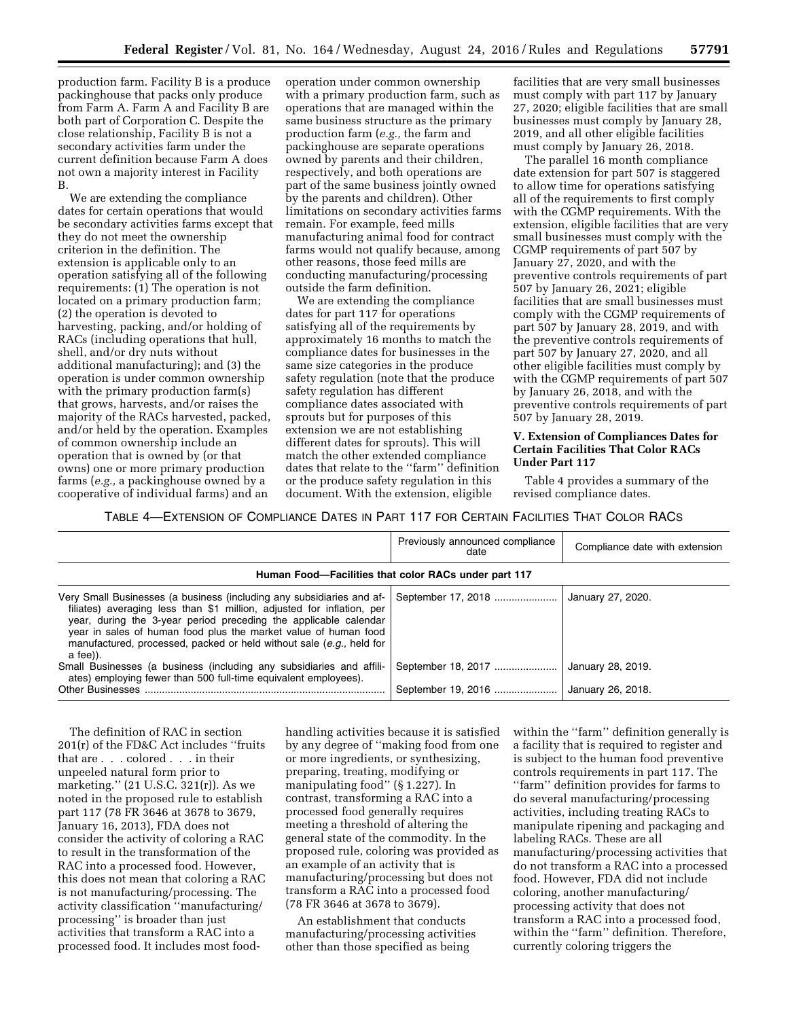production farm. Facility B is a produce packinghouse that packs only produce from Farm A. Farm A and Facility B are both part of Corporation C. Despite the close relationship, Facility B is not a secondary activities farm under the current definition because Farm A does not own a majority interest in Facility B.

We are extending the compliance dates for certain operations that would be secondary activities farms except that they do not meet the ownership criterion in the definition. The extension is applicable only to an operation satisfying all of the following requirements: (1) The operation is not located on a primary production farm; (2) the operation is devoted to harvesting, packing, and/or holding of RACs (including operations that hull, shell, and/or dry nuts without additional manufacturing); and (3) the operation is under common ownership with the primary production farm(s) that grows, harvests, and/or raises the majority of the RACs harvested, packed, and/or held by the operation. Examples of common ownership include an operation that is owned by (or that owns) one or more primary production farms (*e.g.,* a packinghouse owned by a cooperative of individual farms) and an

operation under common ownership with a primary production farm, such as operations that are managed within the same business structure as the primary production farm (*e.g.,* the farm and packinghouse are separate operations owned by parents and their children, respectively, and both operations are part of the same business jointly owned by the parents and children). Other limitations on secondary activities farms remain. For example, feed mills manufacturing animal food for contract farms would not qualify because, among other reasons, those feed mills are conducting manufacturing/processing outside the farm definition.

We are extending the compliance dates for part 117 for operations satisfying all of the requirements by approximately 16 months to match the compliance dates for businesses in the same size categories in the produce safety regulation (note that the produce safety regulation has different compliance dates associated with sprouts but for purposes of this extension we are not establishing different dates for sprouts). This will match the other extended compliance dates that relate to the ''farm'' definition or the produce safety regulation in this document. With the extension, eligible

facilities that are very small businesses must comply with part 117 by January 27, 2020; eligible facilities that are small businesses must comply by January 28, 2019, and all other eligible facilities must comply by January 26, 2018.

The parallel 16 month compliance date extension for part 507 is staggered to allow time for operations satisfying all of the requirements to first comply with the CGMP requirements. With the extension, eligible facilities that are very small businesses must comply with the CGMP requirements of part 507 by January 27, 2020, and with the preventive controls requirements of part 507 by January 26, 2021; eligible facilities that are small businesses must comply with the CGMP requirements of part 507 by January 28, 2019, and with the preventive controls requirements of part 507 by January 27, 2020, and all other eligible facilities must comply by with the CGMP requirements of part 507 by January 26, 2018, and with the preventive controls requirements of part 507 by January 28, 2019.

# **V. Extension of Compliances Dates for Certain Facilities That Color RACs Under Part 117**

Table 4 provides a summary of the revised compliance dates.

TABLE 4—EXTENSION OF COMPLIANCE DATES IN PART 117 FOR CERTAIN FACILITIES THAT COLOR RACS

|                                                                                                                                                                                                                                                                                                                                                                            | Previously announced compliance<br>date              | Compliance date with extension         |
|----------------------------------------------------------------------------------------------------------------------------------------------------------------------------------------------------------------------------------------------------------------------------------------------------------------------------------------------------------------------------|------------------------------------------------------|----------------------------------------|
|                                                                                                                                                                                                                                                                                                                                                                            | Human Food-Facilities that color RACs under part 117 |                                        |
| Very Small Businesses (a business (including any subsidiaries and af-<br>filiates) averaging less than \$1 million, adjusted for inflation, per<br>year, during the 3-year period preceding the applicable calendar<br>year in sales of human food plus the market value of human food<br>manufactured, processed, packed or held without sale (e.g., held for<br>a fee)). | September 17, 2018                                   | January 27, 2020.                      |
| Small Businesses (a business (including any subsidiaries and affili-<br>ates) employing fewer than 500 full-time equivalent employees).<br>Other Businesses                                                                                                                                                                                                                | September 18, 2017<br>September 19, 2016             | January 28, 2019.<br>January 26, 2018. |

The definition of RAC in section 201(r) of the FD&C Act includes ''fruits that are . . . colored . . . in their unpeeled natural form prior to marketing.'' (21 U.S.C. 321(r)). As we noted in the proposed rule to establish part 117 (78 FR 3646 at 3678 to 3679, January 16, 2013), FDA does not consider the activity of coloring a RAC to result in the transformation of the RAC into a processed food. However, this does not mean that coloring a RAC is not manufacturing/processing. The activity classification ''manufacturing/ processing'' is broader than just activities that transform a RAC into a processed food. It includes most food-

handling activities because it is satisfied by any degree of ''making food from one or more ingredients, or synthesizing, preparing, treating, modifying or manipulating food'' (§ 1.227). In contrast, transforming a RAC into a processed food generally requires meeting a threshold of altering the general state of the commodity. In the proposed rule, coloring was provided as an example of an activity that is manufacturing/processing but does not transform a RAC into a processed food (78 FR 3646 at 3678 to 3679).

An establishment that conducts manufacturing/processing activities other than those specified as being

within the "farm" definition generally is a facility that is required to register and is subject to the human food preventive controls requirements in part 117. The ''farm'' definition provides for farms to do several manufacturing/processing activities, including treating RACs to manipulate ripening and packaging and labeling RACs. These are all manufacturing/processing activities that do not transform a RAC into a processed food. However, FDA did not include coloring, another manufacturing/ processing activity that does not transform a RAC into a processed food, within the ''farm'' definition. Therefore, currently coloring triggers the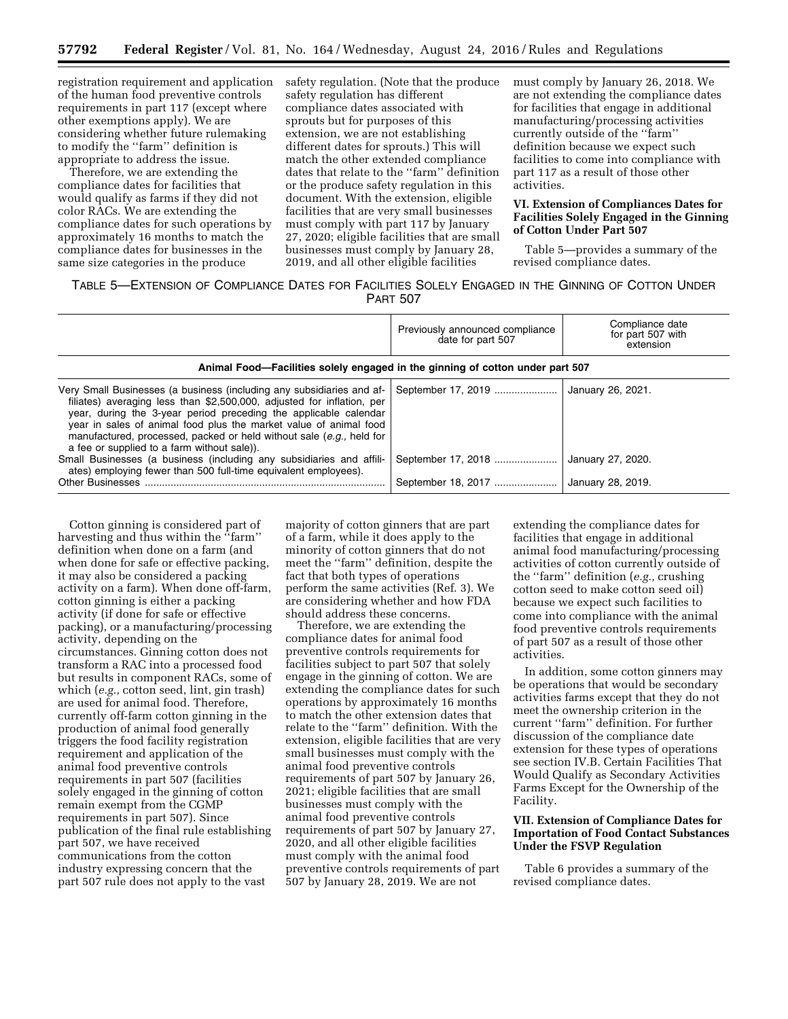registration requirement and application of the human food preventive controls requirements in part 117 (except where other exemptions apply). We are considering whether future rulemaking to modify the ''farm'' definition is appropriate to address the issue.

Therefore, we are extending the compliance dates for facilities that would qualify as farms if they did not color RACs. We are extending the compliance dates for such operations by approximately 16 months to match the compliance dates for businesses in the same size categories in the produce

safety regulation. (Note that the produce safety regulation has different compliance dates associated with sprouts but for purposes of this extension, we are not establishing different dates for sprouts.) This will match the other extended compliance dates that relate to the ''farm'' definition or the produce safety regulation in this document. With the extension, eligible facilities that are very small businesses must comply with part 117 by January 27, 2020; eligible facilities that are small businesses must comply by January 28, 2019, and all other eligible facilities

must comply by January 26, 2018. We are not extending the compliance dates for facilities that engage in additional manufacturing/processing activities currently outside of the ''farm'' definition because we expect such facilities to come into compliance with part 117 as a result of those other activities.

# **VI. Extension of Compliances Dates for Facilities Solely Engaged in the Ginning of Cotton Under Part 507**

Table 5—provides a summary of the revised compliance dates.

TABLE 5—EXTENSION OF COMPLIANCE DATES FOR FACILITIES SOLELY ENGAGED IN THE GINNING OF COTTON UNDER PART 507

|                                                                                                                                                                                                                                                                                                                                                                                                                 | Previously announced compliance<br>date for part 507 | Compliance date<br>for part 507 with<br>extension |
|-----------------------------------------------------------------------------------------------------------------------------------------------------------------------------------------------------------------------------------------------------------------------------------------------------------------------------------------------------------------------------------------------------------------|------------------------------------------------------|---------------------------------------------------|
| Animal Food-Facilities solely engaged in the ginning of cotton under part 507                                                                                                                                                                                                                                                                                                                                   |                                                      |                                                   |
| Very Small Businesses (a business (including any subsidiaries and af-<br>filiates) averaging less than \$2,500,000, adjusted for inflation, per<br>year, during the 3-year period preceding the applicable calendar<br>year in sales of animal food plus the market value of animal food<br>manufactured, processed, packed or held without sale (e.g., held for<br>a fee or supplied to a farm without sale)). | September 17, 2019                                   | January 26, 2021.                                 |
| Small Businesses (a business (including any subsidiaries and affili-<br>ates) employing fewer than 500 full-time equivalent employees).                                                                                                                                                                                                                                                                         | September 17, 2018                                   | January 27, 2020.                                 |
| <b>Other Businesses</b>                                                                                                                                                                                                                                                                                                                                                                                         | September 18, 2017                                   | January 28, 2019.                                 |

Cotton ginning is considered part of harvesting and thus within the "farm" definition when done on a farm (and when done for safe or effective packing, it may also be considered a packing activity on a farm). When done off-farm, cotton ginning is either a packing activity (if done for safe or effective packing), or a manufacturing/processing activity, depending on the circumstances. Ginning cotton does not transform a RAC into a processed food but results in component RACs, some of which (*e.g.,* cotton seed, lint, gin trash) are used for animal food. Therefore, currently off-farm cotton ginning in the production of animal food generally triggers the food facility registration requirement and application of the animal food preventive controls requirements in part 507 (facilities solely engaged in the ginning of cotton remain exempt from the CGMP requirements in part 507). Since publication of the final rule establishing part 507, we have received communications from the cotton industry expressing concern that the part 507 rule does not apply to the vast

majority of cotton ginners that are part of a farm, while it does apply to the minority of cotton ginners that do not meet the ''farm'' definition, despite the fact that both types of operations perform the same activities (Ref. 3). We are considering whether and how FDA should address these concerns.

Therefore, we are extending the compliance dates for animal food preventive controls requirements for facilities subject to part 507 that solely engage in the ginning of cotton. We are extending the compliance dates for such operations by approximately 16 months to match the other extension dates that relate to the ''farm'' definition. With the extension, eligible facilities that are very small businesses must comply with the animal food preventive controls requirements of part 507 by January 26, 2021; eligible facilities that are small businesses must comply with the animal food preventive controls requirements of part 507 by January 27, 2020, and all other eligible facilities must comply with the animal food preventive controls requirements of part 507 by January 28, 2019. We are not

extending the compliance dates for facilities that engage in additional animal food manufacturing/processing activities of cotton currently outside of the ''farm'' definition (*e.g.,* crushing cotton seed to make cotton seed oil) because we expect such facilities to come into compliance with the animal food preventive controls requirements of part 507 as a result of those other activities.

In addition, some cotton ginners may be operations that would be secondary activities farms except that they do not meet the ownership criterion in the current ''farm'' definition. For further discussion of the compliance date extension for these types of operations see section IV.B. Certain Facilities That Would Qualify as Secondary Activities Farms Except for the Ownership of the Facility.

### **VII. Extension of Compliance Dates for Importation of Food Contact Substances Under the FSVP Regulation**

Table 6 provides a summary of the revised compliance dates.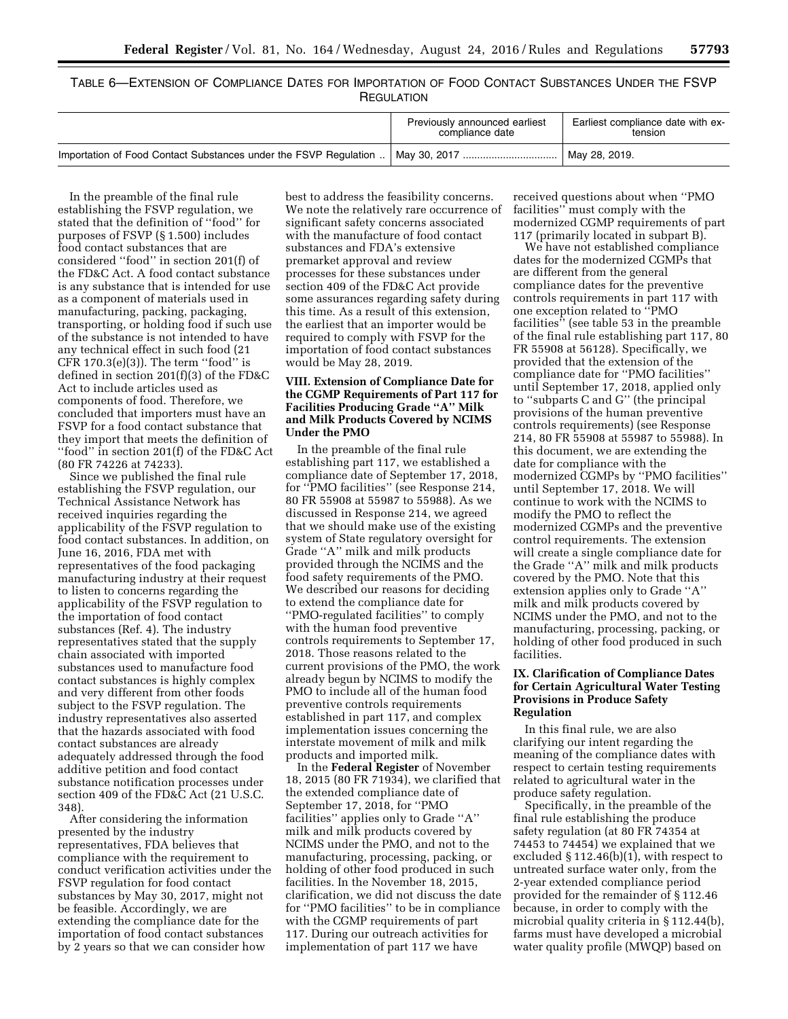|  |  | Table 6—Extension of Compliance Dates for Importation of Food Contact Substances Under the FSVP |  |  |  |  |
|--|--|-------------------------------------------------------------------------------------------------|--|--|--|--|
|  |  | <b>REGULATION</b>                                                                               |  |  |  |  |

|                                                                    | Previously announced earliest<br>compliance date | Earliest compliance date with ex-<br>tension |
|--------------------------------------------------------------------|--------------------------------------------------|----------------------------------------------|
| Importation of Food Contact Substances under the FSVP Regulation . | May 30, 2017                                     | <sup>1</sup> May 28, 2019.                   |

In the preamble of the final rule establishing the FSVP regulation, we stated that the definition of ''food'' for purposes of FSVP (§ 1.500) includes food contact substances that are considered ''food'' in section 201(f) of the FD&C Act. A food contact substance is any substance that is intended for use as a component of materials used in manufacturing, packing, packaging, transporting, or holding food if such use of the substance is not intended to have any technical effect in such food (21 CFR  $170.3(e)(3)$ . The term "food" is defined in section 201(f)(3) of the FD&C Act to include articles used as components of food. Therefore, we concluded that importers must have an FSVP for a food contact substance that they import that meets the definition of ''food'' in section 201(f) of the FD&C Act (80 FR 74226 at 74233).

Since we published the final rule establishing the FSVP regulation, our Technical Assistance Network has received inquiries regarding the applicability of the FSVP regulation to food contact substances. In addition, on June 16, 2016, FDA met with representatives of the food packaging manufacturing industry at their request to listen to concerns regarding the applicability of the FSVP regulation to the importation of food contact substances (Ref. 4). The industry representatives stated that the supply chain associated with imported substances used to manufacture food contact substances is highly complex and very different from other foods subject to the FSVP regulation. The industry representatives also asserted that the hazards associated with food contact substances are already adequately addressed through the food additive petition and food contact substance notification processes under section 409 of the FD&C Act (21 U.S.C. 348).

After considering the information presented by the industry representatives, FDA believes that compliance with the requirement to conduct verification activities under the FSVP regulation for food contact substances by May 30, 2017, might not be feasible. Accordingly, we are extending the compliance date for the importation of food contact substances by 2 years so that we can consider how

best to address the feasibility concerns. We note the relatively rare occurrence of significant safety concerns associated with the manufacture of food contact substances and FDA's extensive premarket approval and review processes for these substances under section 409 of the FD&C Act provide some assurances regarding safety during this time. As a result of this extension, the earliest that an importer would be required to comply with FSVP for the importation of food contact substances would be May 28, 2019.

# **VIII. Extension of Compliance Date for the CGMP Requirements of Part 117 for Facilities Producing Grade ''A'' Milk and Milk Products Covered by NCIMS Under the PMO**

In the preamble of the final rule establishing part 117, we established a compliance date of September 17, 2018, for ''PMO facilities'' (see Response 214, 80 FR 55908 at 55987 to 55988). As we discussed in Response 214, we agreed that we should make use of the existing system of State regulatory oversight for Grade ''A'' milk and milk products provided through the NCIMS and the food safety requirements of the PMO. We described our reasons for deciding to extend the compliance date for ''PMO-regulated facilities'' to comply with the human food preventive controls requirements to September 17, 2018. Those reasons related to the current provisions of the PMO, the work already begun by NCIMS to modify the PMO to include all of the human food preventive controls requirements established in part 117, and complex implementation issues concerning the interstate movement of milk and milk products and imported milk.

In the **Federal Register** of November 18, 2015 (80 FR 71934), we clarified that the extended compliance date of September 17, 2018, for ''PMO facilities'' applies only to Grade ''A'' milk and milk products covered by NCIMS under the PMO, and not to the manufacturing, processing, packing, or holding of other food produced in such facilities. In the November 18, 2015, clarification, we did not discuss the date for ''PMO facilities'' to be in compliance with the CGMP requirements of part 117. During our outreach activities for implementation of part 117 we have

received questions about when ''PMO facilities'' must comply with the modernized CGMP requirements of part 117 (primarily located in subpart B).

We have not established compliance dates for the modernized CGMPs that are different from the general compliance dates for the preventive controls requirements in part 117 with one exception related to ''PMO facilities $\bar{''}$  (see table 53 in the preamble of the final rule establishing part 117, 80 FR 55908 at 56128). Specifically, we provided that the extension of the compliance date for ''PMO facilities'' until September 17, 2018, applied only to ''subparts C and G'' (the principal provisions of the human preventive controls requirements) (see Response 214, 80 FR 55908 at 55987 to 55988). In this document, we are extending the date for compliance with the modernized CGMPs by ''PMO facilities'' until September 17, 2018. We will continue to work with the NCIMS to modify the PMO to reflect the modernized CGMPs and the preventive control requirements. The extension will create a single compliance date for the Grade ''A'' milk and milk products covered by the PMO. Note that this extension applies only to Grade ''A'' milk and milk products covered by NCIMS under the PMO, and not to the manufacturing, processing, packing, or holding of other food produced in such facilities.

# **IX. Clarification of Compliance Dates for Certain Agricultural Water Testing Provisions in Produce Safety Regulation**

In this final rule, we are also clarifying our intent regarding the meaning of the compliance dates with respect to certain testing requirements related to agricultural water in the produce safety regulation.

Specifically, in the preamble of the final rule establishing the produce safety regulation (at 80 FR 74354 at 74453 to 74454) we explained that we excluded § 112.46(b)(1), with respect to untreated surface water only, from the 2-year extended compliance period provided for the remainder of § 112.46 because, in order to comply with the microbial quality criteria in § 112.44(b), farms must have developed a microbial water quality profile (MWQP) based on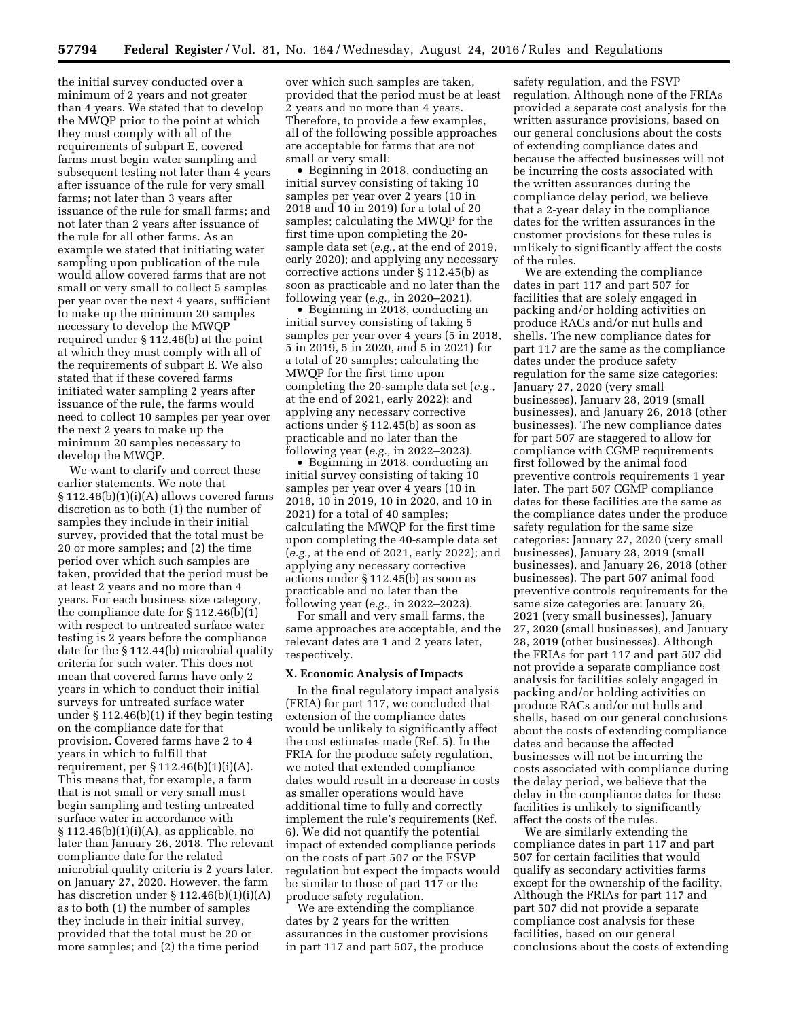the initial survey conducted over a minimum of 2 years and not greater than 4 years. We stated that to develop the MWQP prior to the point at which they must comply with all of the requirements of subpart E, covered farms must begin water sampling and subsequent testing not later than 4 years after issuance of the rule for very small farms; not later than 3 years after issuance of the rule for small farms; and not later than 2 years after issuance of the rule for all other farms. As an example we stated that initiating water sampling upon publication of the rule would allow covered farms that are not small or very small to collect 5 samples per year over the next 4 years, sufficient to make up the minimum 20 samples necessary to develop the MWQP required under § 112.46(b) at the point at which they must comply with all of the requirements of subpart E. We also stated that if these covered farms initiated water sampling 2 years after issuance of the rule, the farms would need to collect 10 samples per year over the next 2 years to make up the minimum 20 samples necessary to develop the MWQP.

We want to clarify and correct these earlier statements. We note that  $§ 112.46(b)(1)(i)(A)$  allows covered farms discretion as to both (1) the number of samples they include in their initial survey, provided that the total must be 20 or more samples; and (2) the time period over which such samples are taken, provided that the period must be at least 2 years and no more than 4 years. For each business size category, the compliance date for § 112.46(b)(1) with respect to untreated surface water testing is 2 years before the compliance date for the § 112.44(b) microbial quality criteria for such water. This does not mean that covered farms have only 2 years in which to conduct their initial surveys for untreated surface water under § 112.46(b)(1) if they begin testing on the compliance date for that provision. Covered farms have 2 to 4 years in which to fulfill that requirement, per § 112.46(b)(1)(i)(A). This means that, for example, a farm that is not small or very small must begin sampling and testing untreated surface water in accordance with  $§ 112.46(b)(1)(i)(A)$ , as applicable, no later than January 26, 2018. The relevant compliance date for the related microbial quality criteria is 2 years later, on January 27, 2020. However, the farm has discretion under § 112.46(b)(1)(i)(A) as to both (1) the number of samples they include in their initial survey, provided that the total must be 20 or more samples; and (2) the time period

over which such samples are taken, provided that the period must be at least 2 years and no more than 4 years. Therefore, to provide a few examples, all of the following possible approaches are acceptable for farms that are not small or very small:

• Beginning in 2018, conducting an initial survey consisting of taking 10 samples per year over 2 years (10 in 2018 and 10 in 2019) for a total of 20 samples; calculating the MWQP for the first time upon completing the 20 sample data set (*e.g.,* at the end of 2019, early 2020); and applying any necessary corrective actions under § 112.45(b) as soon as practicable and no later than the following year (*e.g.,* in 2020–2021).

• Beginning in 2018, conducting an initial survey consisting of taking 5 samples per year over 4 years (5 in 2018, 5 in 2019, 5 in 2020, and 5 in 2021) for a total of 20 samples; calculating the MWQP for the first time upon completing the 20-sample data set (*e.g.,*  at the end of 2021, early 2022); and applying any necessary corrective actions under § 112.45(b) as soon as practicable and no later than the following year (*e.g.,* in 2022–2023).

• Beginning in 2018, conducting an initial survey consisting of taking 10 samples per year over 4 years (10 in 2018, 10 in 2019, 10 in 2020, and 10 in 2021) for a total of 40 samples; calculating the MWQP for the first time upon completing the 40-sample data set (*e.g.,* at the end of 2021, early 2022); and applying any necessary corrective actions under § 112.45(b) as soon as practicable and no later than the following year (*e.g.,* in 2022–2023).

For small and very small farms, the same approaches are acceptable, and the relevant dates are 1 and 2 years later, respectively.

# **X. Economic Analysis of Impacts**

In the final regulatory impact analysis (FRIA) for part 117, we concluded that extension of the compliance dates would be unlikely to significantly affect the cost estimates made (Ref. 5). In the FRIA for the produce safety regulation, we noted that extended compliance dates would result in a decrease in costs as smaller operations would have additional time to fully and correctly implement the rule's requirements (Ref. 6). We did not quantify the potential impact of extended compliance periods on the costs of part 507 or the FSVP regulation but expect the impacts would be similar to those of part 117 or the produce safety regulation.

We are extending the compliance dates by 2 years for the written assurances in the customer provisions in part 117 and part 507, the produce

safety regulation, and the FSVP regulation. Although none of the FRIAs provided a separate cost analysis for the written assurance provisions, based on our general conclusions about the costs of extending compliance dates and because the affected businesses will not be incurring the costs associated with the written assurances during the compliance delay period, we believe that a 2-year delay in the compliance dates for the written assurances in the customer provisions for these rules is unlikely to significantly affect the costs of the rules.

We are extending the compliance dates in part 117 and part 507 for facilities that are solely engaged in packing and/or holding activities on produce RACs and/or nut hulls and shells. The new compliance dates for part 117 are the same as the compliance dates under the produce safety regulation for the same size categories: January 27, 2020 (very small businesses), January 28, 2019 (small businesses), and January 26, 2018 (other businesses). The new compliance dates for part 507 are staggered to allow for compliance with CGMP requirements first followed by the animal food preventive controls requirements 1 year later. The part 507 CGMP compliance dates for these facilities are the same as the compliance dates under the produce safety regulation for the same size categories: January 27, 2020 (very small businesses), January 28, 2019 (small businesses), and January 26, 2018 (other businesses). The part 507 animal food preventive controls requirements for the same size categories are: January 26, 2021 (very small businesses), January 27, 2020 (small businesses), and January 28, 2019 (other businesses). Although the FRIAs for part 117 and part 507 did not provide a separate compliance cost analysis for facilities solely engaged in packing and/or holding activities on produce RACs and/or nut hulls and shells, based on our general conclusions about the costs of extending compliance dates and because the affected businesses will not be incurring the costs associated with compliance during the delay period, we believe that the delay in the compliance dates for these facilities is unlikely to significantly affect the costs of the rules.

We are similarly extending the compliance dates in part 117 and part 507 for certain facilities that would qualify as secondary activities farms except for the ownership of the facility. Although the FRIAs for part 117 and part 507 did not provide a separate compliance cost analysis for these facilities, based on our general conclusions about the costs of extending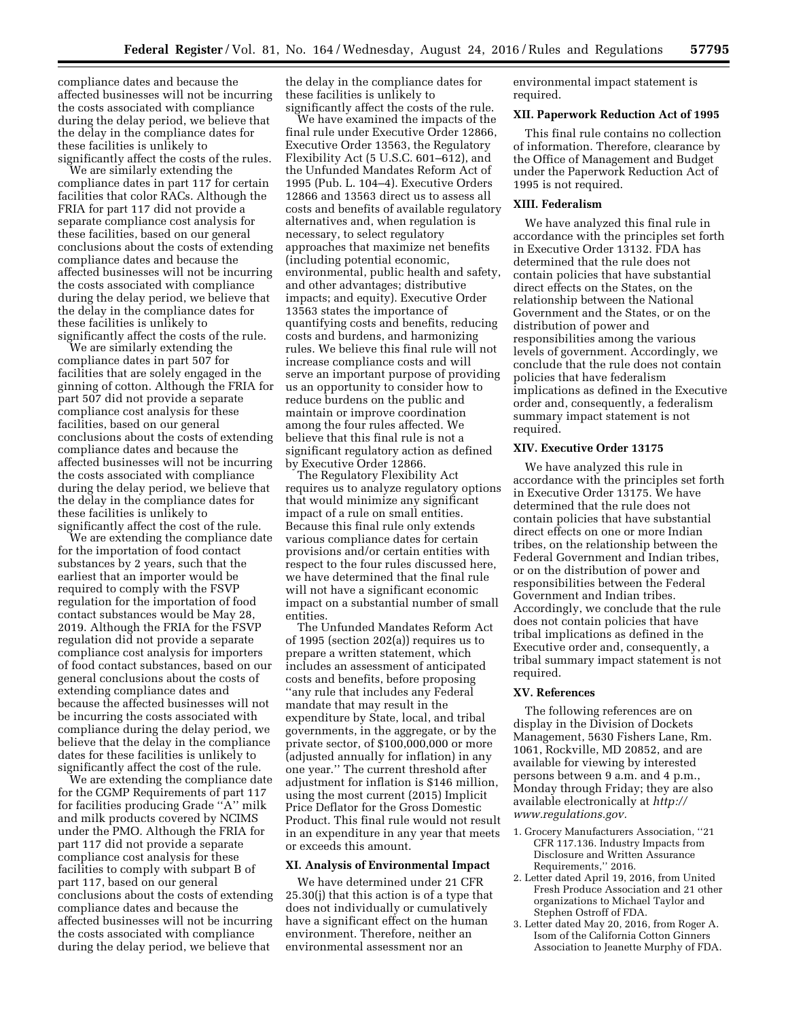compliance dates and because the affected businesses will not be incurring the costs associated with compliance during the delay period, we believe that the delay in the compliance dates for these facilities is unlikely to significantly affect the costs of the rules.

We are similarly extending the compliance dates in part 117 for certain facilities that color RACs. Although the FRIA for part 117 did not provide a separate compliance cost analysis for these facilities, based on our general conclusions about the costs of extending compliance dates and because the affected businesses will not be incurring the costs associated with compliance during the delay period, we believe that the delay in the compliance dates for these facilities is unlikely to significantly affect the costs of the rule.

We are similarly extending the compliance dates in part 507 for facilities that are solely engaged in the ginning of cotton. Although the FRIA for part 507 did not provide a separate compliance cost analysis for these facilities, based on our general conclusions about the costs of extending compliance dates and because the affected businesses will not be incurring the costs associated with compliance during the delay period, we believe that the delay in the compliance dates for these facilities is unlikely to significantly affect the cost of the rule.

We are extending the compliance date for the importation of food contact substances by 2 years, such that the earliest that an importer would be required to comply with the FSVP regulation for the importation of food contact substances would be May 28, 2019. Although the FRIA for the FSVP regulation did not provide a separate compliance cost analysis for importers of food contact substances, based on our general conclusions about the costs of extending compliance dates and because the affected businesses will not be incurring the costs associated with compliance during the delay period, we believe that the delay in the compliance dates for these facilities is unlikely to significantly affect the cost of the rule.

We are extending the compliance date for the CGMP Requirements of part 117 for facilities producing Grade ''A'' milk and milk products covered by NCIMS under the PMO. Although the FRIA for part 117 did not provide a separate compliance cost analysis for these facilities to comply with subpart B of part 117, based on our general conclusions about the costs of extending compliance dates and because the affected businesses will not be incurring the costs associated with compliance during the delay period, we believe that

the delay in the compliance dates for these facilities is unlikely to significantly affect the costs of the rule.

We have examined the impacts of the final rule under Executive Order 12866, Executive Order 13563, the Regulatory Flexibility Act (5 U.S.C. 601–612), and the Unfunded Mandates Reform Act of 1995 (Pub. L. 104–4). Executive Orders 12866 and 13563 direct us to assess all costs and benefits of available regulatory alternatives and, when regulation is necessary, to select regulatory approaches that maximize net benefits (including potential economic, environmental, public health and safety, and other advantages; distributive impacts; and equity). Executive Order 13563 states the importance of quantifying costs and benefits, reducing costs and burdens, and harmonizing rules. We believe this final rule will not increase compliance costs and will serve an important purpose of providing us an opportunity to consider how to reduce burdens on the public and maintain or improve coordination among the four rules affected. We believe that this final rule is not a significant regulatory action as defined by Executive Order 12866.

The Regulatory Flexibility Act requires us to analyze regulatory options that would minimize any significant impact of a rule on small entities. Because this final rule only extends various compliance dates for certain provisions and/or certain entities with respect to the four rules discussed here, we have determined that the final rule will not have a significant economic impact on a substantial number of small entities.

The Unfunded Mandates Reform Act of 1995 (section 202(a)) requires us to prepare a written statement, which includes an assessment of anticipated costs and benefits, before proposing ''any rule that includes any Federal mandate that may result in the expenditure by State, local, and tribal governments, in the aggregate, or by the private sector, of \$100,000,000 or more (adjusted annually for inflation) in any one year.'' The current threshold after adjustment for inflation is \$146 million, using the most current (2015) Implicit Price Deflator for the Gross Domestic Product. This final rule would not result in an expenditure in any year that meets or exceeds this amount.

#### **XI. Analysis of Environmental Impact**

We have determined under 21 CFR 25.30(j) that this action is of a type that does not individually or cumulatively have a significant effect on the human environment. Therefore, neither an environmental assessment nor an

environmental impact statement is required.

### **XII. Paperwork Reduction Act of 1995**

This final rule contains no collection of information. Therefore, clearance by the Office of Management and Budget under the Paperwork Reduction Act of 1995 is not required.

# **XIII. Federalism**

We have analyzed this final rule in accordance with the principles set forth in Executive Order 13132. FDA has determined that the rule does not contain policies that have substantial direct effects on the States, on the relationship between the National Government and the States, or on the distribution of power and responsibilities among the various levels of government. Accordingly, we conclude that the rule does not contain policies that have federalism implications as defined in the Executive order and, consequently, a federalism summary impact statement is not required.

### **XIV. Executive Order 13175**

We have analyzed this rule in accordance with the principles set forth in Executive Order 13175. We have determined that the rule does not contain policies that have substantial direct effects on one or more Indian tribes, on the relationship between the Federal Government and Indian tribes, or on the distribution of power and responsibilities between the Federal Government and Indian tribes. Accordingly, we conclude that the rule does not contain policies that have tribal implications as defined in the Executive order and, consequently, a tribal summary impact statement is not required.

### **XV. References**

The following references are on display in the Division of Dockets Management, 5630 Fishers Lane, Rm. 1061, Rockville, MD 20852, and are available for viewing by interested persons between 9 a.m. and 4 p.m., Monday through Friday; they are also available electronically at *[http://](http://www.regulations.gov) [www.regulations.gov.](http://www.regulations.gov)* 

- 1. Grocery Manufacturers Association, ''21 CFR 117.136. Industry Impacts from Disclosure and Written Assurance Requirements,'' 2016.
- 2. Letter dated April 19, 2016, from United Fresh Produce Association and 21 other organizations to Michael Taylor and Stephen Ostroff of FDA.
- 3. Letter dated May 20, 2016, from Roger A. Isom of the California Cotton Ginners Association to Jeanette Murphy of FDA.